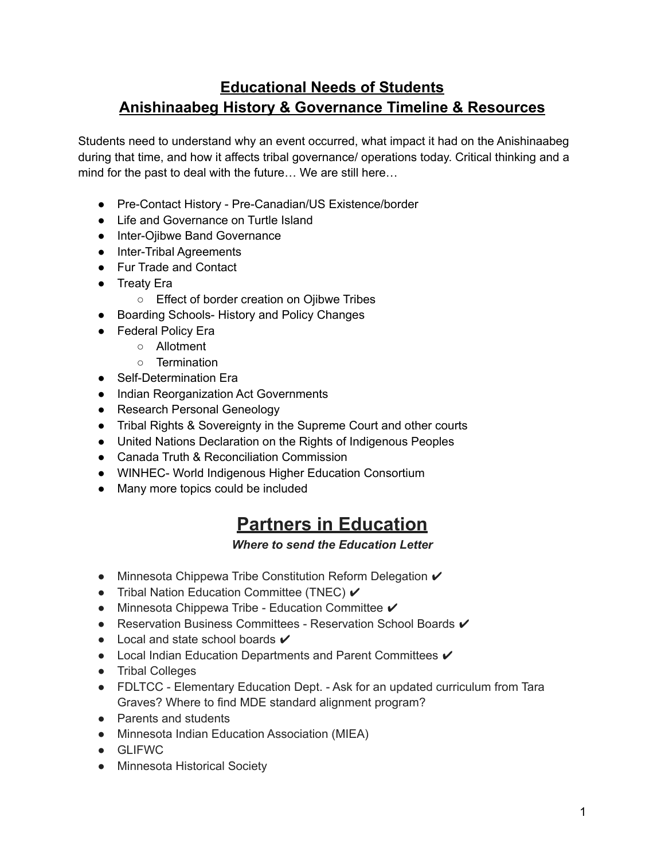## **Educational Needs of Students Anishinaabeg History & Governance Timeline & Resources**

Students need to understand why an event occurred, what impact it had on the Anishinaabeg during that time, and how it affects tribal governance/ operations today. Critical thinking and a mind for the past to deal with the future… We are still here…

- Pre-Contact History Pre-Canadian/US Existence/border
- Life and Governance on Turtle Island
- Inter-Ojibwe Band Governance
- Inter-Tribal Agreements
- Fur Trade and Contact
- Treaty Era
	- Effect of border creation on Ojibwe Tribes
- Boarding Schools- History and Policy Changes
- Federal Policy Era
	- Allotment
	- Termination
- Self-Determination Era
- Indian Reorganization Act Governments
- Research Personal Geneology
- Tribal Rights & Sovereignty in the Supreme Court and other courts
- United Nations Declaration on the Rights of Indigenous Peoples
- Canada Truth & Reconciliation Commission
- WINHEC- World Indigenous Higher Education Consortium
- Many more topics could be included

# **Partners in Education**

*Where to send the Education Letter*

- Minnesota Chippewa Tribe Constitution Reform Delegation ✔
- Tribal Nation Education Committee (TNEC)  $✓$
- $\bullet$  Minnesota Chippewa Tribe Education Committee  $\checkmark$
- Reservation Business Committees Reservation School Boards ✔
- $\bullet$  Local and state school boards  $\checkmark$
- Local Indian Education Departments and Parent Committees  $✓$
- Tribal Colleges
- FDLTCC Elementary Education Dept. Ask for an updated curriculum from Tara Graves? Where to find MDE standard alignment program?
- Parents and students
- Minnesota Indian Education Association (MIEA)
- GLIFWC
- Minnesota Historical Society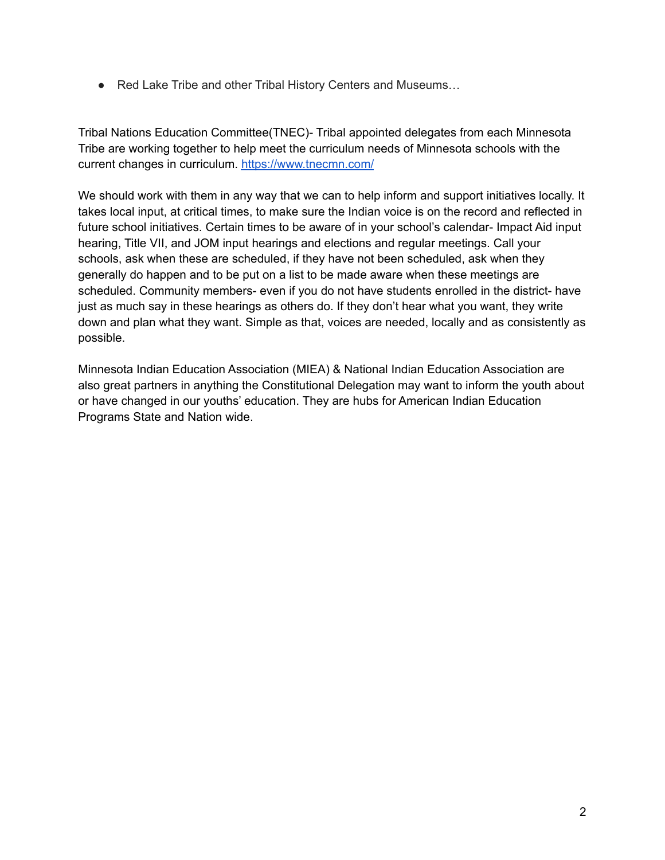● Red Lake Tribe and other Tribal History Centers and Museums...

Tribal Nations Education Committee(TNEC)- Tribal appointed delegates from each Minnesota Tribe are working together to help meet the curriculum needs of Minnesota schools with the current changes in curriculum. <https://www.tnecmn.com/>

We should work with them in any way that we can to help inform and support initiatives locally. It takes local input, at critical times, to make sure the Indian voice is on the record and reflected in future school initiatives. Certain times to be aware of in your school's calendar- Impact Aid input hearing, Title VII, and JOM input hearings and elections and regular meetings. Call your schools, ask when these are scheduled, if they have not been scheduled, ask when they generally do happen and to be put on a list to be made aware when these meetings are scheduled. Community members- even if you do not have students enrolled in the district- have just as much say in these hearings as others do. If they don't hear what you want, they write down and plan what they want. Simple as that, voices are needed, locally and as consistently as possible.

Minnesota Indian Education Association (MIEA) & National Indian Education Association are also great partners in anything the Constitutional Delegation may want to inform the youth about or have changed in our youths' education. They are hubs for American Indian Education Programs State and Nation wide.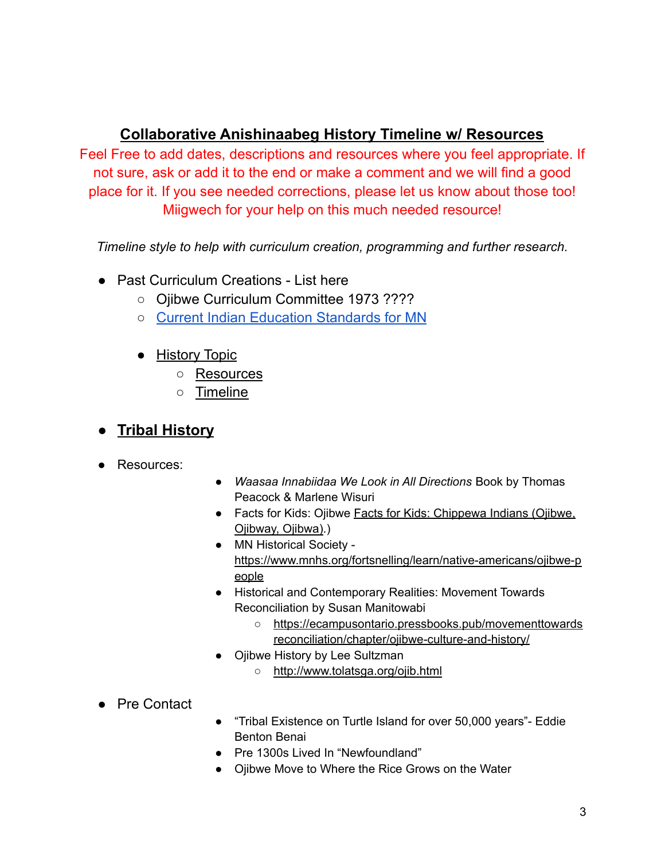### **Collaborative Anishinaabeg History Timeline w/ Resources**

Feel Free to add dates, descriptions and resources where you feel appropriate. If not sure, ask or add it to the end or make a comment and we will find a good place for it. If you see needed corrections, please let us know about those too! Miigwech for your help on this much needed resource!

*Timeline style to help with curriculum creation, programming and further research.*

- Past Curriculum Creations List here
	- Ojibwe Curriculum Committee 1973 ????
	- Current Indian Education [Standards](https://www.mncsse.org/sites/default/files/curriculum/amerian-indian-education/documents/mn_academic_standards_relating_to_mn_american_indian_tribes.pdf) for MN
	- History Topic
		- Resources
		- Timeline
- **● Tribal History**
- Resources:
- *● Waasaa Innabiidaa We Look in All Directions* Book by Thomas Peacock & Marlene Wisuri
- Facts for Kids: Ojibwe Facts for Kids: [Chippewa](http://www.bigorrin.org/chippewa_kids.htm#:~:text=Each%20Ojibwe%20tribe%20is%20politically,ogimaa%20in%20the%20Ojibway%20language) Indians (Ojibwe, [Ojibway,](http://www.bigorrin.org/chippewa_kids.htm#:~:text=Each%20Ojibwe%20tribe%20is%20politically,ogimaa%20in%20the%20Ojibway%20language) Ojibwa).)
- MN Historical Society [https://www.mnhs.org/fortsnelling/learn/native-americans/ojibwe-p](https://www.mnhs.org/fortsnelling/learn/native-americans/ojibwe-people) [eople](https://www.mnhs.org/fortsnelling/learn/native-americans/ojibwe-people)
- Historical and Contemporary Realities: Movement Towards Reconciliation by Susan Manitowabi
	- [https://ecampusontario.pressbooks.pub/movementtowards](https://ecampusontario.pressbooks.pub/movementtowardsreconciliation/chapter/ojibwe-culture-and-history/) [reconciliation/chapter/ojibwe-culture-and-history/](https://ecampusontario.pressbooks.pub/movementtowardsreconciliation/chapter/ojibwe-culture-and-history/)
- **Ojibwe History by Lee Sultzman** 
	- <http://www.tolatsga.org/ojib.html>
- Pre Contact
- "Tribal Existence on Turtle Island for over 50,000 years"- Eddie Benton Benai
- Pre 1300s Lived In "Newfoundland"
- Ojibwe Move to Where the Rice Grows on the Water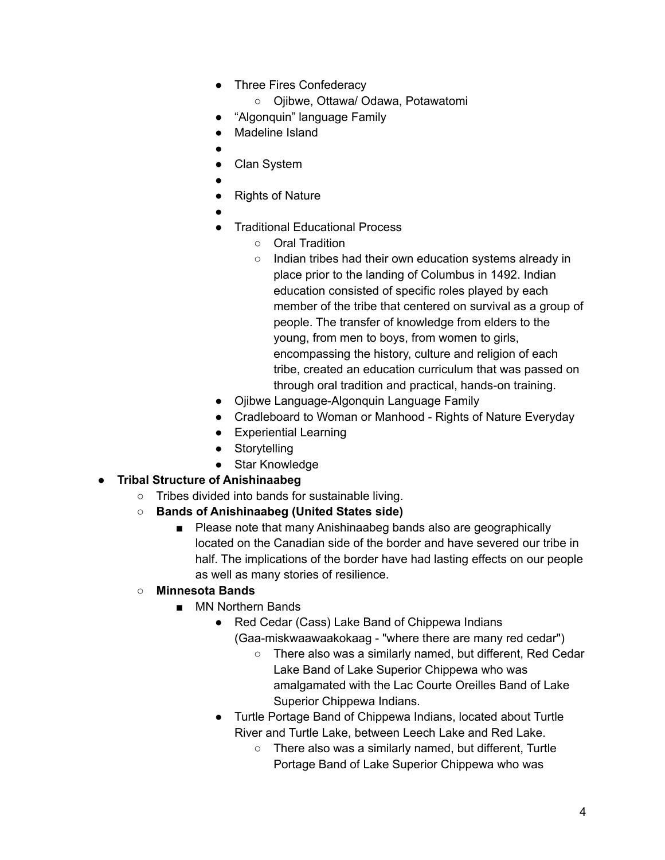- Three Fires Confederacy
	- Ojibwe, Ottawa/ Odawa, Potawatomi
- "Algonquin" language Family
- Madeline Island
- ●
- Clan System
- ●
- **Rights of Nature**
- ●
- **Traditional Educational Process** 
	- Oral Tradition
	- Indian tribes had their own education systems already in place prior to the landing of Columbus in 1492. Indian education consisted of specific roles played by each member of the tribe that centered on survival as a group of people. The transfer of knowledge from elders to the young, from men to boys, from women to girls, encompassing the history, culture and religion of each tribe, created an education curriculum that was passed on through oral tradition and practical, hands-on training.
- Ojibwe Language-Algonquin Language Family
- Cradleboard to Woman or Manhood Rights of Nature Everyday
- Experiential Learning
- Storytelling
- Star Knowledge
- **● Tribal Structure of Anishinaabeg**
	- Tribes divided into bands for sustainable living.
	- **○ Bands of Anishinaabeg (United States side)**
		- Please note that many Anishinaabeg bands also are geographically located on the Canadian side of the border and have severed our tribe in half. The implications of the border have had lasting effects on our people as well as many stories of resilience.
	- **○ Minnesota Bands**
		- MN Northern Bands
			- Red Cedar (Cass) Lake Band of Chippewa Indians
				- (Gaa-miskwaawaakokaag "where there are many red cedar")
					- There also was a similarly named, but different, Red Cedar Lake Band of Lake Superior Chippewa who was amalgamated with the Lac Courte Oreilles Band of Lake Superior Chippewa Indians.
			- Turtle Portage Band of Chippewa Indians, located about Turtle River and Turtle Lake, between Leech Lake and Red Lake.
				- There also was a similarly named, but different, Turtle Portage Band of Lake Superior Chippewa who was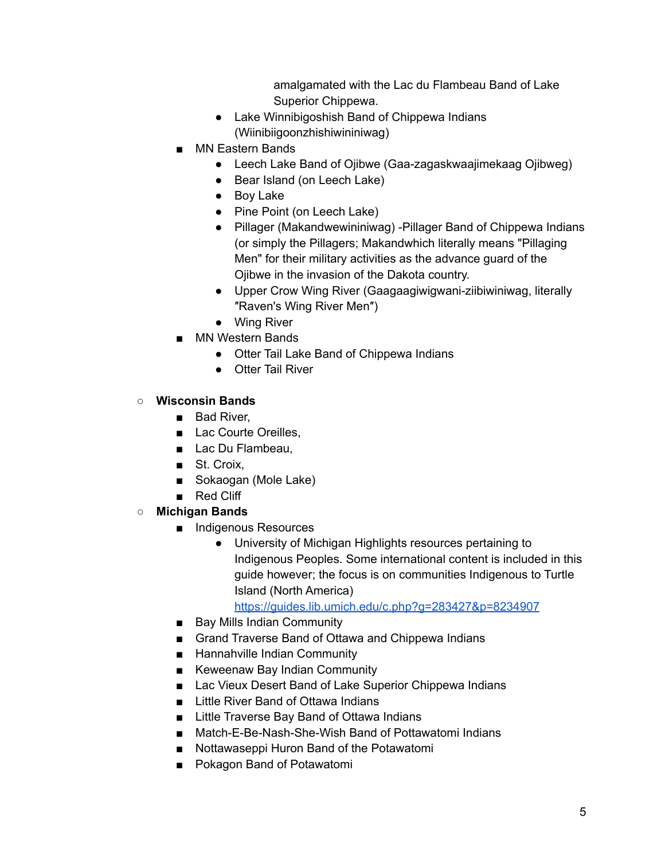amalgamated with the Lac du Flambeau Band of Lake Superior Chippewa.

- Lake Winnibigoshish Band of Chippewa Indians (Wiinibiigoonzhishiwininiwag)
- MN Eastern Bands
	- Leech Lake Band of Ojibwe (Gaa-zagaskwaajimekaag Ojibweg)
	- Bear Island (on Leech Lake)
	- Boy Lake
	- Pine Point (on Leech Lake)
	- Pillager (Makandwewininiwag) -Pillager Band of Chippewa Indians (or simply the Pillagers; Makandwhich literally means "Pillaging Men" for their military activities as the advance guard of the Ojibwe in the invasion of the Dakota country.
	- Upper Crow Wing River (Gaagaagiwigwani-ziibiwiniwag, literally ″Raven's Wing River Men″)
	- Wing River
- MN Western Bands
	- Otter Tail Lake Band of Chippewa Indians
	- Otter Tail River

#### **○ Wisconsin Bands**

- Bad River,
- Lac Courte Oreilles.
- Lac Du Flambeau,
- St. Croix.
- Sokaogan (Mole Lake)
- Red Cliff
- **○ Michigan Bands**
	- Indigenous Resources
		- University of Michigan Highlights resources pertaining to Indigenous Peoples. Some international content is included in this guide however; the focus is on communities Indigenous to Turtle Island (North America)

<https://guides.lib.umich.edu/c.php?g=283427&p=8234907>

- Bay Mills Indian Community
- Grand Traverse Band of Ottawa and Chippewa Indians
- Hannahville Indian Community
- Keweenaw Bay Indian Community
- Lac Vieux Desert Band of Lake Superior Chippewa Indians
- Little River Band of Ottawa Indians
- Little Traverse Bay Band of Ottawa Indians
- Match-E-Be-Nash-She-Wish Band of Pottawatomi Indians
- Nottawaseppi Huron Band of the Potawatomi
- Pokagon Band of Potawatomi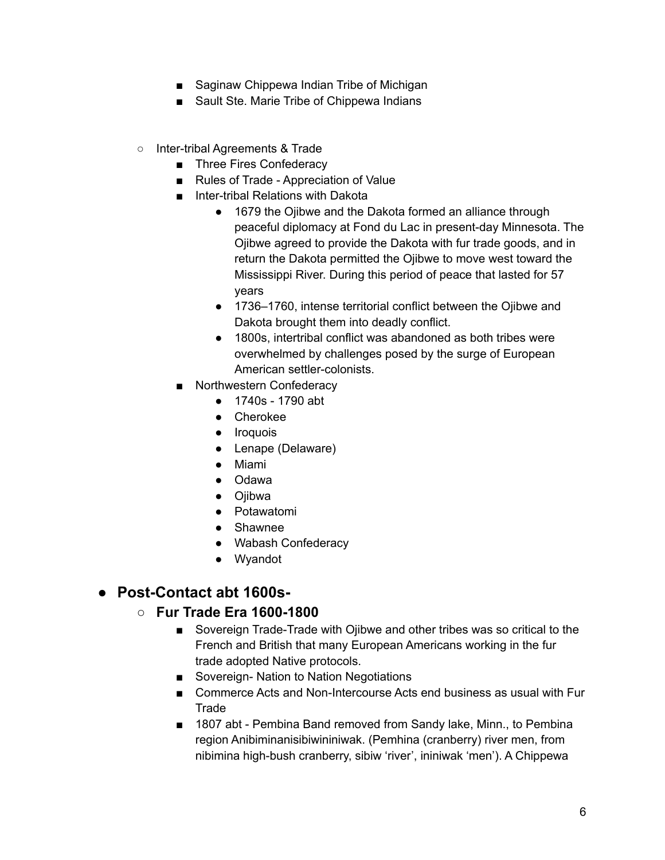- Saginaw Chippewa Indian Tribe of Michigan
- Sault Ste. Marie Tribe of Chippewa Indians
- Inter-tribal Agreements & Trade
	- Three Fires Confederacy
	- Rules of Trade Appreciation of Value
	- Inter-tribal Relations with Dakota
		- 1679 the Ojibwe and the Dakota formed an alliance through peaceful diplomacy at Fond du Lac in present-day Minnesota. The Ojibwe agreed to provide the Dakota with fur trade goods, and in return the Dakota permitted the Ojibwe to move west toward the Mississippi River. During this period of peace that lasted for 57 years
		- 1736–1760, intense territorial conflict between the Ojibwe and Dakota brought them into deadly conflict.
		- 1800s, intertribal conflict was abandoned as both tribes were overwhelmed by challenges posed by the surge of European American settler-colonists.
	- Northwestern Confederacy
		- 1740s 1790 abt
		- Cherokee
		- Iroquois
		- Lenape (Delaware)
		- Miami
		- Odawa
		- Ojibwa
		- Potawatomi
		- Shawnee
		- Wabash Confederacy
		- Wyandot

#### **● Post-Contact abt 1600s-**

#### **○ Fur Trade Era 1600-1800**

- Sovereign Trade-Trade with Ojibwe and other tribes was so critical to the French and British that many European Americans working in the fur trade adopted Native protocols.
- Sovereign- Nation to Nation Negotiations
- Commerce Acts and Non-Intercourse Acts end business as usual with Fur **Trade**
- 1807 abt Pembina Band removed from Sandy lake, Minn., to Pembina region Anibiminanisibiwininiwak. (Pemhina (cranberry) river men, from nibimina high-bush cranberry, sibiw 'river', ininiwak 'men'). A Chippewa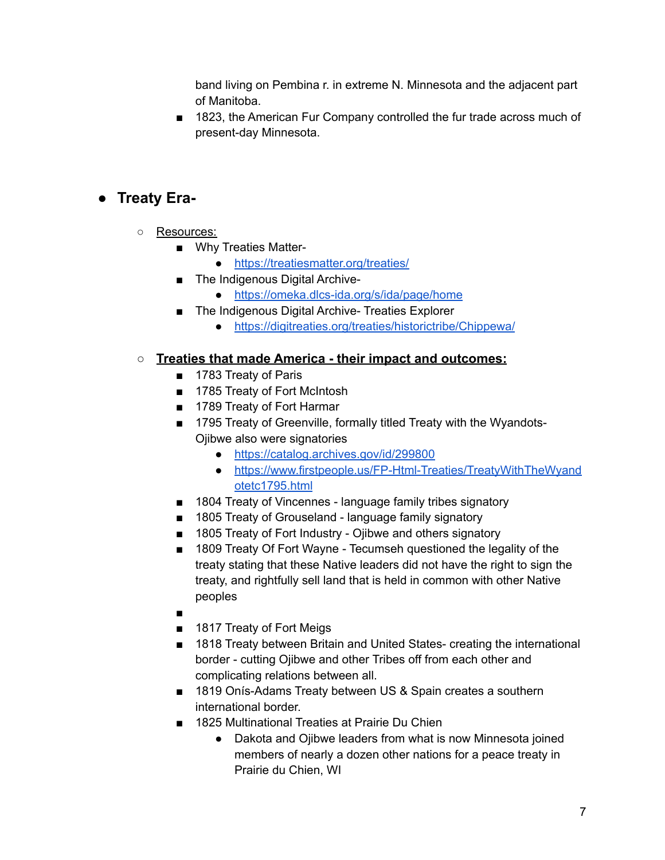band living on Pembina r. in extreme N. Minnesota and the adjacent part of Manitoba.

■ 1823, the American Fur Company controlled the fur trade across much of present-day Minnesota.

### **● Treaty Era-**

- Resources:
	- Why Treaties Matter-
		- <https://treatiesmatter.org/treaties/>
	- The Indigenous Digital Archive-
		- <https://omeka.dlcs-ida.org/s/ida/page/home>
	- The Indigenous Digital Archive- Treaties Explorer
		- <https://digitreaties.org/treaties/historictribe/Chippewa/>

#### **○ Treaties that made America - their impact and outcomes:**

- 1783 Treaty of Paris
- 1785 Treaty of Fort McIntosh
- 1789 Treaty of Fort Harmar
- 1795 Treaty of Greenville, formally titled Treaty with the Wyandots-Ojibwe also were signatories
	- <https://catalog.archives.gov/id/299800>
	- [https://www.firstpeople.us/FP-Html-Treaties/TreatyWithTheWyand](https://www.firstpeople.us/FP-Html-Treaties/TreatyWithTheWyandotetc1795.html) [otetc1795.html](https://www.firstpeople.us/FP-Html-Treaties/TreatyWithTheWyandotetc1795.html)
- 1804 Treaty of Vincennes language family tribes signatory
- 1805 Treaty of Grouseland language family signatory
- 1805 Treaty of Fort Industry Ojibwe and others signatory
- 1809 Treaty Of Fort Wayne Tecumseh questioned the legality of the treaty stating that these Native leaders did not have the right to sign the treaty, and rightfully sell land that is held in common with other Native peoples
- ■
- 1817 Treaty of Fort Meigs
- 1818 Treaty between Britain and United States- creating the international border - cutting Ojibwe and other Tribes off from each other and complicating relations between all.
- 1819 Onís-Adams Treaty between US & Spain creates a southern international border.
- 1825 Multinational Treaties at Prairie Du Chien
	- Dakota and Ojibwe leaders from what is now Minnesota joined members of nearly a dozen other nations for a peace treaty in Prairie du Chien, WI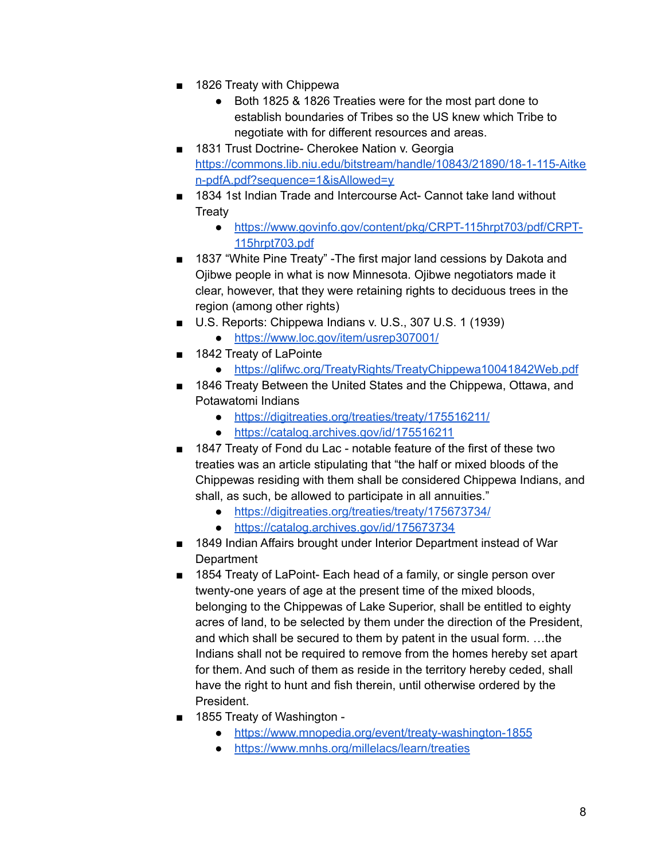- 1826 Treaty with Chippewa
	- Both 1825 & 1826 Treaties were for the most part done to establish boundaries of Tribes so the US knew which Tribe to negotiate with for different resources and areas.
- 1831 Trust Doctrine- Cherokee Nation v. Georgia [https://commons.lib.niu.edu/bitstream/handle/10843/21890/18-1-115-Aitke](https://commons.lib.niu.edu/bitstream/handle/10843/21890/18-1-115-Aitken-pdfA.pdf?sequence=1&isAllowed=y) [n-pdfA.pdf?sequence=1&isAllowed=y](https://commons.lib.niu.edu/bitstream/handle/10843/21890/18-1-115-Aitken-pdfA.pdf?sequence=1&isAllowed=y)
- 1834 1st Indian Trade and Intercourse Act- Cannot take land without **Treaty** 
	- [https://www.govinfo.gov/content/pkg/CRPT-115hrpt703/pdf/CRPT-](https://www.govinfo.gov/content/pkg/CRPT-115hrpt703/pdf/CRPT-115hrpt703.pdf)[115hrpt703.pdf](https://www.govinfo.gov/content/pkg/CRPT-115hrpt703/pdf/CRPT-115hrpt703.pdf)
- 1837 "White Pine Treaty" The first major land cessions by Dakota and Ojibwe people in what is now Minnesota. Ojibwe negotiators made it clear, however, that they were retaining rights to deciduous trees in the region (among other rights)
- U.S. Reports: Chippewa Indians v. U.S., 307 U.S. 1 (1939)
	- <https://www.loc.gov/item/usrep307001/>
- 1842 Treaty of LaPointe
	- <https://glifwc.org/TreatyRights/TreatyChippewa10041842Web.pdf>
- 1846 Treaty Between the United States and the Chippewa, Ottawa, and Potawatomi Indians
	- <https://digitreaties.org/treaties/treaty/175516211/>
	- <https://catalog.archives.gov/id/175516211>
- 1847 Treaty of Fond du Lac notable feature of the first of these two treaties was an article stipulating that "the half or mixed bloods of the Chippewas residing with them shall be considered Chippewa Indians, and shall, as such, be allowed to participate in all annuities."
	- <https://digitreaties.org/treaties/treaty/175673734/>
	- <https://catalog.archives.gov/id/175673734>
- 1849 Indian Affairs brought under Interior Department instead of War **Department**
- 1854 Treaty of LaPoint- Each head of a family, or single person over twenty-one years of age at the present time of the mixed bloods, belonging to the Chippewas of Lake Superior, shall be entitled to eighty acres of land, to be selected by them under the direction of the President, and which shall be secured to them by patent in the usual form. …the Indians shall not be required to remove from the homes hereby set apart for them. And such of them as reside in the territory hereby ceded, shall have the right to hunt and fish therein, until otherwise ordered by the President.
- 1855 Treaty of Washington -
	- <https://www.mnopedia.org/event/treaty-washington-1855>
	- <https://www.mnhs.org/millelacs/learn/treaties>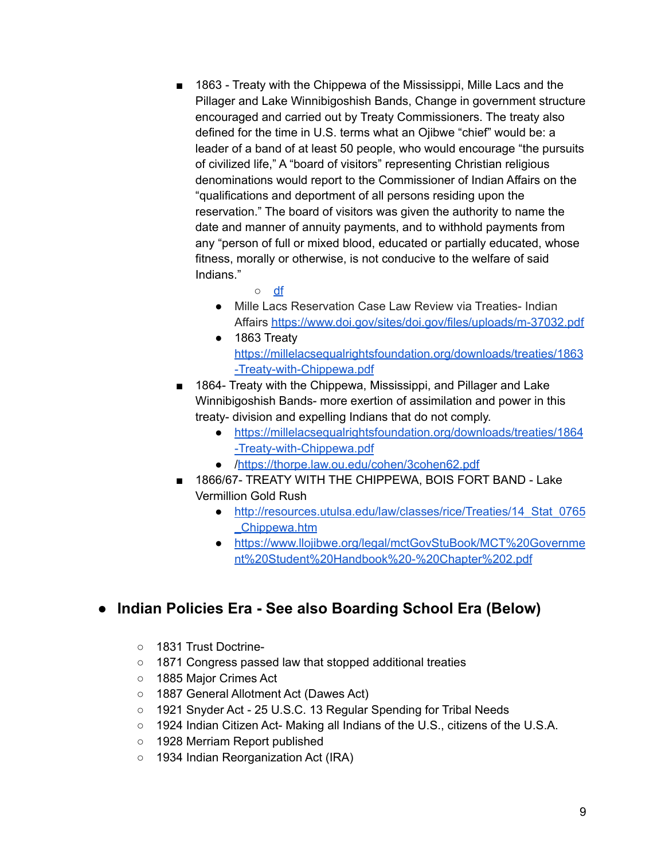- 1863 Treaty with the Chippewa of the Mississippi, Mille Lacs and the Pillager and Lake Winnibigoshish Bands, Change in government structure encouraged and carried out by Treaty Commissioners. The treaty also defined for the time in U.S. terms what an Ojibwe "chief" would be: a leader of a band of at least 50 people, who would encourage "the pursuits of civilized life," A "board of visitors" representing Christian religious denominations would report to the Commissioner of Indian Affairs on the "qualifications and deportment of all persons residing upon the reservation." The board of visitors was given the authority to name the date and manner of annuity payments, and to withhold payments from any "person of full or mixed blood, educated or partially educated, whose fitness, morally or otherwise, is not conducive to the welfare of said Indians."
	- [df](http://collections.mnhs.org/MNHistoryMagazine/articles/49/v49i03p082-098.pdf)
	- Mille Lacs Reservation Case Law Review via Treaties- Indian Affairs <https://www.doi.gov/sites/doi.gov/files/uploads/m-37032.pdf>
	- 1863 Treaty [https://millelacsequalrightsfoundation.org/downloads/treaties/1863](https://millelacsequalrightsfoundation.org/downloads/treaties/1863-Treaty-with-Chippewa.pdf) [-Treaty-with-Chippewa.pdf](https://millelacsequalrightsfoundation.org/downloads/treaties/1863-Treaty-with-Chippewa.pdf)
- 1864- Treaty with the Chippewa, Mississippi, and Pillager and Lake Winnibigoshish Bands- more exertion of assimilation and power in this treaty- division and expelling Indians that do not comply.
	- [https://millelacsequalrightsfoundation.org/downloads/treaties/1864](https://millelacsequalrightsfoundation.org/downloads/treaties/1864-Treaty-with-Chippewa.pdf) [-Treaty-with-Chippewa.pdf](https://millelacsequalrightsfoundation.org/downloads/treaties/1864-Treaty-with-Chippewa.pdf)
	- [/https://thorpe.law.ou.edu/cohen/3cohen62.pdf](https://thorpe.law.ou.edu/cohen/3cohen62.pdf)
- 1866/67- TREATY WITH THE CHIPPEWA, BOIS FORT BAND Lake Vermillion Gold Rush
	- [http://resources.utulsa.edu/law/classes/rice/Treaties/14\\_Stat\\_0765](http://resources.utulsa.edu/law/classes/rice/Treaties/14_Stat_0765_Chippewa.htm) [\\_Chippewa.htm](http://resources.utulsa.edu/law/classes/rice/Treaties/14_Stat_0765_Chippewa.htm)
	- [https://www.llojibwe.org/legal/mctGovStuBook/MCT%20Governme](https://www.llojibwe.org/legal/mctGovStuBook/MCT%20Government%20Student%20Handbook%20-%20Chapter%202.pdf) [nt%20Student%20Handbook%20-%20Chapter%202.pdf](https://www.llojibwe.org/legal/mctGovStuBook/MCT%20Government%20Student%20Handbook%20-%20Chapter%202.pdf)

### **● Indian Policies Era - See also Boarding School Era (Below)**

- 1831 Trust Doctrine-
- 1871 Congress passed law that stopped additional treaties
- 1885 Major Crimes Act
- 1887 General Allotment Act (Dawes Act)
- 1921 Snyder Act 25 U.S.C. 13 Regular Spending for Tribal Needs
- 1924 Indian Citizen Act- Making all Indians of the U.S., citizens of the U.S.A.
- 1928 Merriam Report published
- 1934 Indian Reorganization Act (IRA)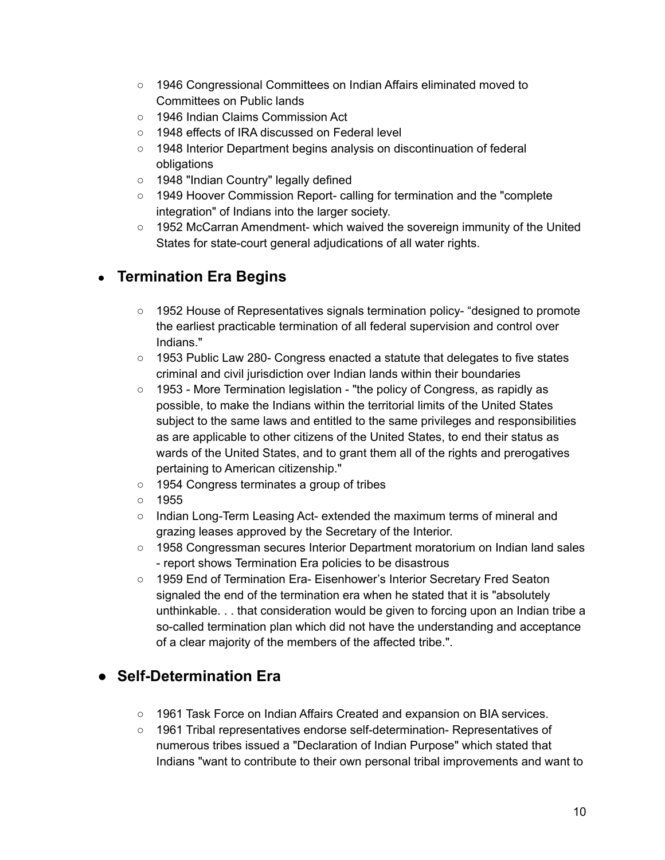- 1946 Congressional Committees on Indian Affairs eliminated moved to Committees on Public lands
- 1946 Indian Claims Commission Act
- 1948 effects of IRA discussed on Federal level
- 1948 Interior Department begins analysis on discontinuation of federal obligations
- 1948 "Indian Country" legally defined
- 1949 Hoover Commission Report- calling for termination and the "complete integration" of Indians into the larger society.
- $\circ$  1952 McCarran Amendment- which waived the sovereign immunity of the United States for state-court general adjudications of all water rights.

### ● **Termination Era Begins**

- 1952 House of Representatives signals termination policy- "designed to promote the earliest practicable termination of all federal supervision and control over Indians."
- 1953 Public Law 280- Congress enacted a statute that delegates to five states criminal and civil jurisdiction over Indian lands within their boundaries
- 1953 More Termination legislation "the policy of Congress, as rapidly as possible, to make the Indians within the territorial limits of the United States subject to the same laws and entitled to the same privileges and responsibilities as are applicable to other citizens of the United States, to end their status as wards of the United States, and to grant them all of the rights and prerogatives pertaining to American citizenship."
- 1954 Congress terminates a group of tribes
- 1955
- Indian Long-Term Leasing Act- extended the maximum terms of mineral and grazing leases approved by the Secretary of the Interior.
- 1958 Congressman secures Interior Department moratorium on Indian land sales - report shows Termination Era policies to be disastrous
- 1959 End of Termination Era- Eisenhower's Interior Secretary Fred Seaton signaled the end of the termination era when he stated that it is "absolutely unthinkable. . . that consideration would be given to forcing upon an Indian tribe a so-called termination plan which did not have the understanding and acceptance of a clear majority of the members of the affected tribe.".

# **● Self-Determination Era**

- 1961 Task Force on Indian Affairs Created and expansion on BIA services.
- 1961 Tribal representatives endorse self-determination- Representatives of numerous tribes issued a "Declaration of Indian Purpose" which stated that Indians "want to contribute to their own personal tribal improvements and want to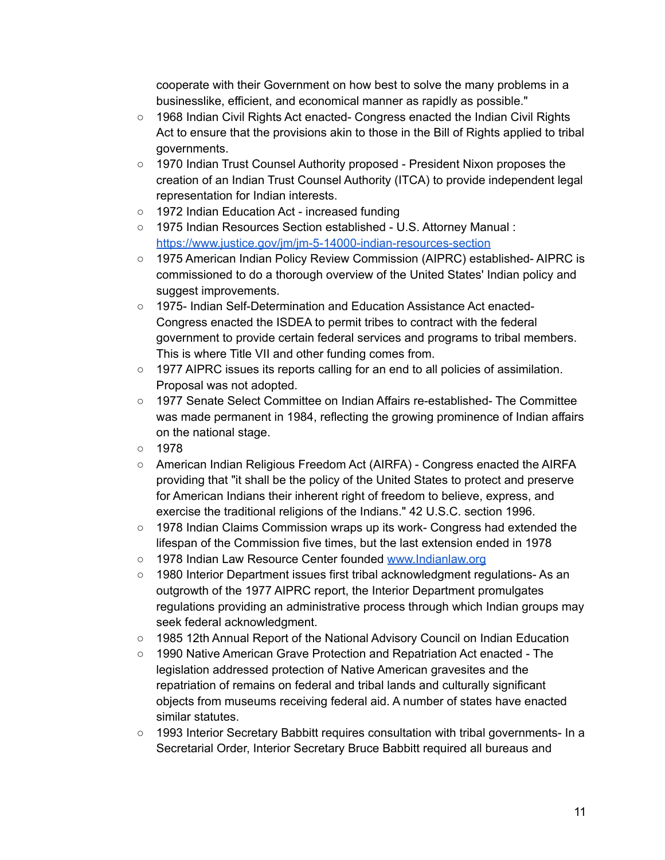cooperate with their Government on how best to solve the many problems in a businesslike, efficient, and economical manner as rapidly as possible."

- 1968 Indian Civil Rights Act enacted- Congress enacted the Indian Civil Rights Act to ensure that the provisions akin to those in the Bill of Rights applied to tribal governments.
- 1970 Indian Trust Counsel Authority proposed President Nixon proposes the creation of an Indian Trust Counsel Authority (ITCA) to provide independent legal representation for Indian interests.
- 1972 Indian Education Act increased funding
- 1975 Indian Resources Section established U.S. Attorney Manual : <https://www.justice.gov/jm/jm-5-14000-indian-resources-section>
- 1975 American Indian Policy Review Commission (AIPRC) established- AIPRC is commissioned to do a thorough overview of the United States' Indian policy and suggest improvements.
- 1975- Indian Self-Determination and Education Assistance Act enacted-Congress enacted the ISDEA to permit tribes to contract with the federal government to provide certain federal services and programs to tribal members. This is where Title VII and other funding comes from.
- 1977 AIPRC issues its reports calling for an end to all policies of assimilation. Proposal was not adopted.
- 1977 Senate Select Committee on Indian Affairs re-established- The Committee was made permanent in 1984, reflecting the growing prominence of Indian affairs on the national stage.
- 1978
- American Indian Religious Freedom Act (AIRFA) Congress enacted the AIRFA providing that "it shall be the policy of the United States to protect and preserve for American Indians their inherent right of freedom to believe, express, and exercise the traditional religions of the Indians." 42 U.S.C. section 1996.
- 1978 Indian Claims Commission wraps up its work- Congress had extended the lifespan of the Commission five times, but the last extension ended in 1978
- o 1978 Indian Law Resource Center founded [www.Indianlaw.org](http://www.indianlaw.org)
- 1980 Interior Department issues first tribal acknowledgment regulations- As an outgrowth of the 1977 AIPRC report, the Interior Department promulgates regulations providing an administrative process through which Indian groups may seek federal acknowledgment.
- 1985 12th Annual Report of the National Advisory Council on Indian Education
- 1990 Native American Grave Protection and Repatriation Act enacted The legislation addressed protection of Native American gravesites and the repatriation of remains on federal and tribal lands and culturally significant objects from museums receiving federal aid. A number of states have enacted similar statutes.
- 1993 Interior Secretary Babbitt requires consultation with tribal governments- In a Secretarial Order, Interior Secretary Bruce Babbitt required all bureaus and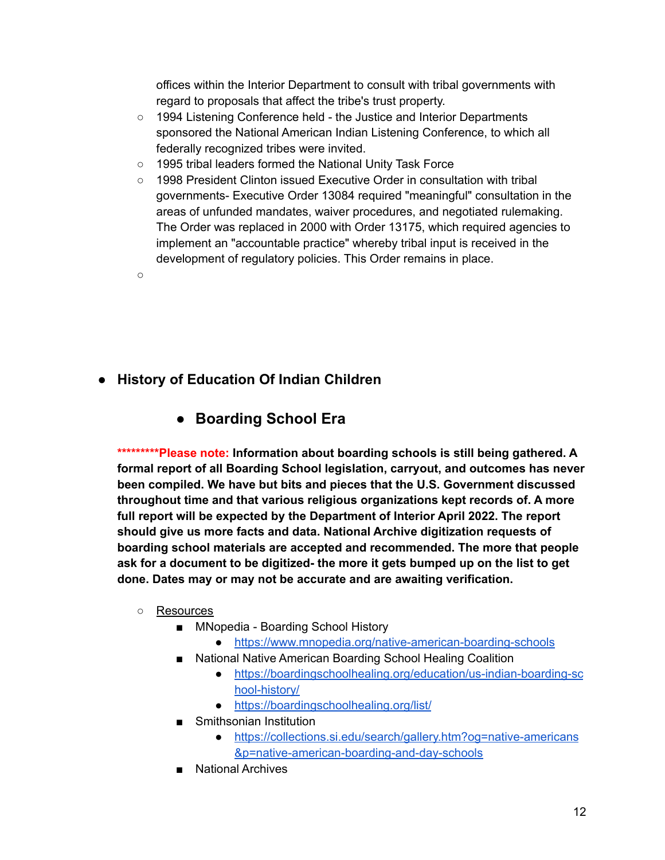offices within the Interior Department to consult with tribal governments with regard to proposals that affect the tribe's trust property.

- 1994 Listening Conference held the Justice and Interior Departments sponsored the National American Indian Listening Conference, to which all federally recognized tribes were invited.
- 1995 tribal leaders formed the National Unity Task Force
- 1998 President Clinton issued Executive Order in consultation with tribal governments- Executive Order 13084 required "meaningful" consultation in the areas of unfunded mandates, waiver procedures, and negotiated rulemaking. The Order was replaced in 2000 with Order 13175, which required agencies to implement an "accountable practice" whereby tribal input is received in the development of regulatory policies. This Order remains in place.
- $\Omega$

**● History of Education Of Indian Children**

### **● Boarding School Era**

**\*\*\*\*\*\*\*\*\*Please note: Information about boarding schools is still being gathered. A formal report of all Boarding School legislation, carryout, and outcomes has never been compiled. We have but bits and pieces that the U.S. Government discussed throughout time and that various religious organizations kept records of. A more full report will be expected by the Department of Interior April 2022. The report should give us more facts and data. National Archive digitization requests of boarding school materials are accepted and recommended. The more that people ask for a document to be digitized- the more it gets bumped up on the list to get done. Dates may or may not be accurate and are awaiting verification.**

- Resources
	- MNopedia Boarding School History
		- <https://www.mnopedia.org/native-american-boarding-schools>
	- National Native American Boarding School Healing Coalition
		- [https://boardingschoolhealing.org/education/us-indian-boarding-sc](https://boardingschoolhealing.org/education/us-indian-boarding-school-history/) [hool-history/](https://boardingschoolhealing.org/education/us-indian-boarding-school-history/)
		- <https://boardingschoolhealing.org/list/>
	- Smithsonian Institution
		- [https://collections.si.edu/search/gallery.htm?og=native-americans](https://collections.si.edu/search/gallery.htm?og=native-americans&p=native-american-boarding-and-day-schools) [&p=native-american-boarding-and-day-schools](https://collections.si.edu/search/gallery.htm?og=native-americans&p=native-american-boarding-and-day-schools)
	- National Archives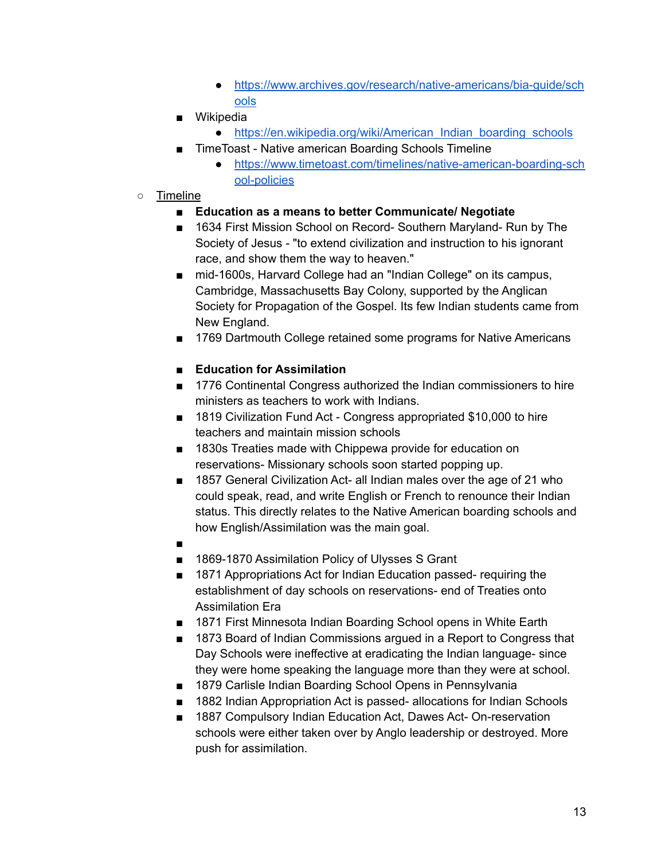- [https://www.archives.gov/research/native-americans/bia-guide/sch](https://www.archives.gov/research/native-americans/bia-guide/schools) [ools](https://www.archives.gov/research/native-americans/bia-guide/schools)
- Wikipedia
	- [https://en.wikipedia.org/wiki/American\\_Indian\\_boarding\\_schools](https://en.wikipedia.org/wiki/American_Indian_boarding_schools)
- TimeToast Native american Boarding Schools Timeline
	- [https://www.timetoast.com/timelines/native-american-boarding-sch](https://www.timetoast.com/timelines/native-american-boarding-school-policies) [ool-policies](https://www.timetoast.com/timelines/native-american-boarding-school-policies)
- Timeline
	- **■ Education as a means to better Communicate/ Negotiate**
	- 1634 First Mission School on Record- Southern Maryland- Run by The Society of Jesus - "to extend civilization and instruction to his ignorant race, and show them the way to heaven."
	- mid-1600s, Harvard College had an "Indian College" on its campus, Cambridge, Massachusetts Bay Colony, supported by the Anglican Society for Propagation of the Gospel. Its few Indian students came from New England.
	- 1769 Dartmouth College retained some programs for Native Americans

#### **■ Education for Assimilation**

- 1776 Continental Congress authorized the Indian commissioners to hire ministers as teachers to work with Indians.
- 1819 Civilization Fund Act Congress appropriated \$10,000 to hire teachers and maintain mission schools
- 1830s Treaties made with Chippewa provide for education on reservations- Missionary schools soon started popping up.
- 1857 General Civilization Act- all Indian males over the age of 21 who could speak, read, and write English or French to renounce their Indian status. This directly relates to the Native American boarding schools and how English/Assimilation was the main goal.
- ■
- 1869-1870 Assimilation Policy of Ulysses S Grant
- 1871 Appropriations Act for Indian Education passed- requiring the establishment of day schools on reservations- end of Treaties onto Assimilation Era
- 1871 First Minnesota Indian Boarding School opens in White Earth
- 1873 Board of Indian Commissions argued in a Report to Congress that Day Schools were ineffective at eradicating the Indian language- since they were home speaking the language more than they were at school.
- 1879 Carlisle Indian Boarding School Opens in Pennsylvania
- 1882 Indian Appropriation Act is passed- allocations for Indian Schools
- 1887 Compulsory Indian Education Act, Dawes Act- On-reservation schools were either taken over by Anglo leadership or destroyed. More push for assimilation.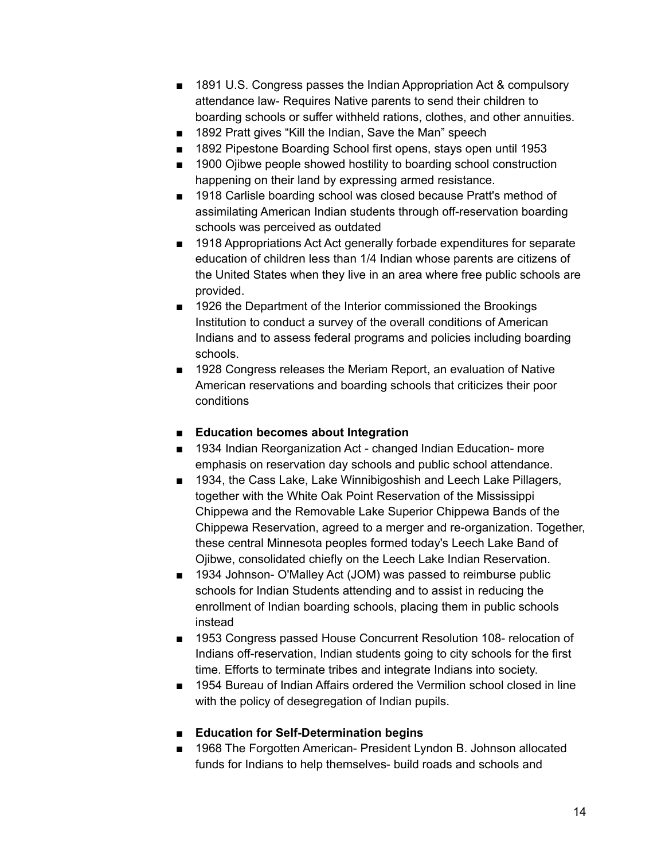- 1891 U.S. Congress passes the Indian Appropriation Act & compulsory attendance law- Requires Native parents to send their children to boarding schools or suffer withheld rations, clothes, and other annuities.
- 1892 Pratt gives "Kill the Indian, Save the Man" speech
- 1892 Pipestone Boarding School first opens, stays open until 1953
- 1900 Ojibwe people showed hostility to boarding school construction happening on their land by expressing armed resistance.
- 1918 Carlisle boarding school was closed because Pratt's method of assimilating American Indian students through off-reservation boarding schools was perceived as outdated
- 1918 Appropriations Act Act generally forbade expenditures for separate education of children less than 1/4 Indian whose parents are citizens of the United States when they live in an area where free public schools are provided.
- 1926 the Department of the Interior commissioned the Brookings Institution to conduct a survey of the overall conditions of American Indians and to assess federal programs and policies including boarding schools.
- 1928 Congress releases the Meriam Report, an evaluation of Native American reservations and boarding schools that criticizes their poor conditions
- **■ Education becomes about Integration**
- 1934 Indian Reorganization Act changed Indian Education- more emphasis on reservation day schools and public school attendance.
- 1934, the Cass Lake, Lake Winnibigoshish and Leech Lake Pillagers, together with the White Oak Point Reservation of the Mississippi Chippewa and the Removable Lake Superior Chippewa Bands of the Chippewa Reservation, agreed to a merger and re-organization. Together, these central Minnesota peoples formed today's Leech Lake Band of Ojibwe, consolidated chiefly on the Leech Lake Indian Reservation.
- 1934 Johnson- O'Malley Act (JOM) was passed to reimburse public schools for Indian Students attending and to assist in reducing the enrollment of Indian boarding schools, placing them in public schools instead
- 1953 Congress passed House Concurrent Resolution 108- relocation of Indians off-reservation, Indian students going to city schools for the first time. Efforts to terminate tribes and integrate Indians into society.
- 1954 Bureau of Indian Affairs ordered the Vermilion school closed in line with the policy of desegregation of Indian pupils.

#### **■ Education for Self-Determination begins**

■ 1968 The Forgotten American- President Lyndon B. Johnson allocated funds for Indians to help themselves- build roads and schools and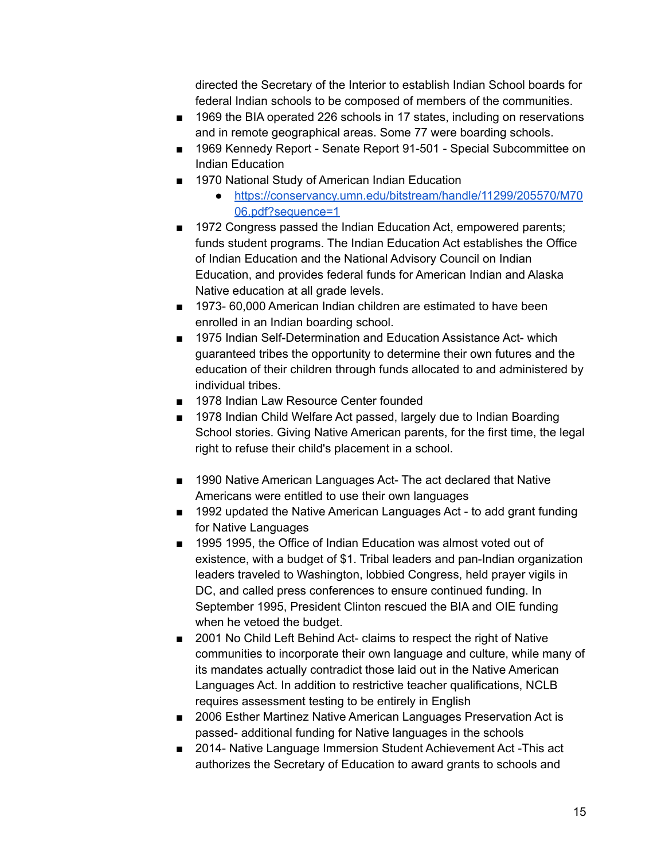directed the Secretary of the Interior to establish Indian School boards for federal Indian schools to be composed of members of the communities.

- 1969 the BIA operated 226 schools in 17 states, including on reservations and in remote geographical areas. Some 77 were boarding schools.
- 1969 Kennedy Report Senate Report 91-501 Special Subcommittee on Indian Education
- 1970 National Study of American Indian Education
	- [https://conservancy.umn.edu/bitstream/handle/11299/205570/M70](https://conservancy.umn.edu/bitstream/handle/11299/205570/M7006.pdf?sequence=1) [06.pdf?sequence=1](https://conservancy.umn.edu/bitstream/handle/11299/205570/M7006.pdf?sequence=1)
- 1972 Congress passed the Indian Education Act, empowered parents; funds student programs. The Indian Education Act establishes the Office of Indian Education and the National Advisory Council on Indian Education, and provides federal funds for American Indian and Alaska Native education at all grade levels.
- 1973- 60,000 American Indian children are estimated to have been enrolled in an Indian boarding school.
- 1975 Indian Self-Determination and Education Assistance Act- which guaranteed tribes the opportunity to determine their own futures and the education of their children through funds allocated to and administered by individual tribes.
- 1978 Indian Law Resource Center founded
- 1978 Indian Child Welfare Act passed, largely due to Indian Boarding School stories. Giving Native American parents, for the first time, the legal right to refuse their child's placement in a school.
- 1990 Native American Languages Act- The act declared that Native Americans were entitled to use their own languages
- 1992 updated the Native American Languages Act to add grant funding for Native Languages
- 1995 1995, the Office of Indian Education was almost voted out of existence, with a budget of \$1. Tribal leaders and pan-Indian organization leaders traveled to Washington, lobbied Congress, held prayer vigils in DC, and called press conferences to ensure continued funding. In September 1995, President Clinton rescued the BIA and OIE funding when he vetoed the budget.
- 2001 No Child Left Behind Act- claims to respect the right of Native communities to incorporate their own language and culture, while many of its mandates actually contradict those laid out in the Native American Languages Act. In addition to restrictive teacher qualifications, NCLB requires assessment testing to be entirely in English
- 2006 Esther Martinez Native American Languages Preservation Act is passed- additional funding for Native languages in the schools
- 2014- Native Language Immersion Student Achievement Act This act authorizes the Secretary of Education to award grants to schools and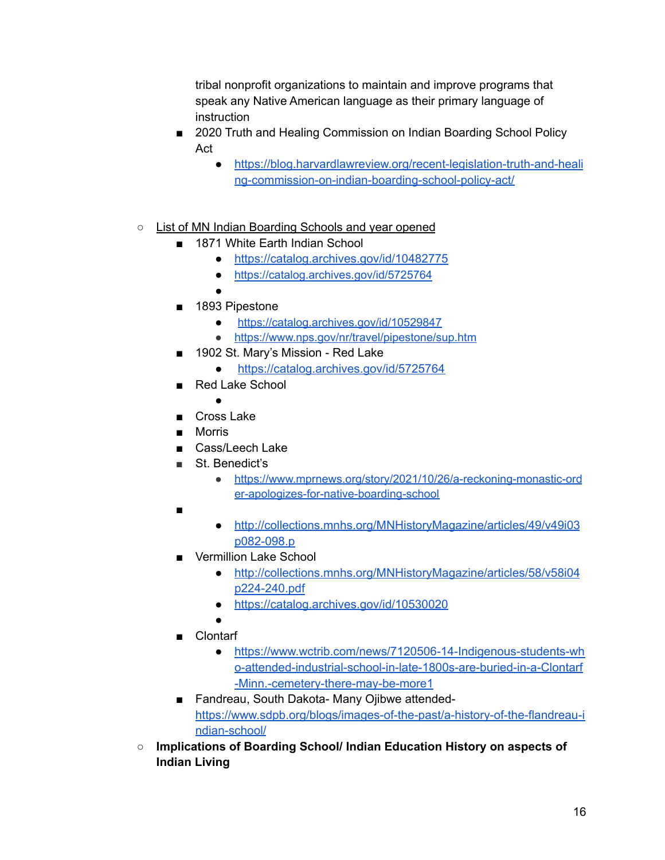tribal nonprofit organizations to maintain and improve programs that speak any Native American language as their primary language of instruction

- 2020 Truth and Healing Commission on Indian Boarding School Policy Act
	- [https://blog.harvardlawreview.org/recent-legislation-truth-and-heali](https://blog.harvardlawreview.org/recent-legislation-truth-and-healing-commission-on-indian-boarding-school-policy-act/) [ng-commission-on-indian-boarding-school-policy-act/](https://blog.harvardlawreview.org/recent-legislation-truth-and-healing-commission-on-indian-boarding-school-policy-act/)
- List of MN Indian Boarding Schools and year opened
	- 1871 White Earth Indian School
		- <https://catalog.archives.gov/id/10482775>
		- <https://catalog.archives.gov/id/5725764>
	- 1893 Pipestone

●

- <https://catalog.archives.gov/id/10529847>
- <https://www.nps.gov/nr/travel/pipestone/sup.htm>
- 1902 St. Mary's Mission Red Lake
	- <https://catalog.archives.gov/id/5725764>
- Red Lake School
	- ●
- Cross Lake
- Morris
- Cass/Leech Lake
- St. Benedict's
	- [https://www.mprnews.org/story/2021/10/26/a-reckoning-monastic-ord](https://www.mprnews.org/story/2021/10/26/a-reckoning-monastic-order-apologizes-for-native-boarding-school) [er-apologizes-for-native-boarding-school](https://www.mprnews.org/story/2021/10/26/a-reckoning-monastic-order-apologizes-for-native-boarding-school)
- ■
- [http://collections.mnhs.org/MNHistoryMagazine/articles/49/v49i03](http://collections.mnhs.org/MNHistoryMagazine/articles/49/v49i03p082-098.pdf) [p082-098.p](http://collections.mnhs.org/MNHistoryMagazine/articles/49/v49i03p082-098.pdf)
- Vermillion Lake School
	- [http://collections.mnhs.org/MNHistoryMagazine/articles/58/v58i04](http://collections.mnhs.org/MNHistoryMagazine/articles/58/v58i04p224-240.pdf) [p224-240.pdf](http://collections.mnhs.org/MNHistoryMagazine/articles/58/v58i04p224-240.pdf)
	- <https://catalog.archives.gov/id/10530020>
	- ●
- Clontarf
	- [https://www.wctrib.com/news/7120506-14-Indigenous-students-wh](https://www.wctrib.com/news/7120506-14-Indigenous-students-who-attended-industrial-school-in-late-1800s-are-buried-in-a-Clontarf-Minn.-cemetery-there-may-be-more1) [o-attended-industrial-school-in-late-1800s-are-buried-in-a-Clontarf](https://www.wctrib.com/news/7120506-14-Indigenous-students-who-attended-industrial-school-in-late-1800s-are-buried-in-a-Clontarf-Minn.-cemetery-there-may-be-more1) [-Minn.-cemetery-there-may-be-more1](https://www.wctrib.com/news/7120506-14-Indigenous-students-who-attended-industrial-school-in-late-1800s-are-buried-in-a-Clontarf-Minn.-cemetery-there-may-be-more1)
- Fandreau, South Dakota- Many Ojibwe attended[https://www.sdpb.org/blogs/images-of-the-past/a-history-of-the-flandreau-i](https://www.sdpb.org/blogs/images-of-the-past/a-history-of-the-flandreau-indian-school/) [ndian-school/](https://www.sdpb.org/blogs/images-of-the-past/a-history-of-the-flandreau-indian-school/)
- **○ Implications of Boarding School/ Indian Education History on aspects of Indian Living**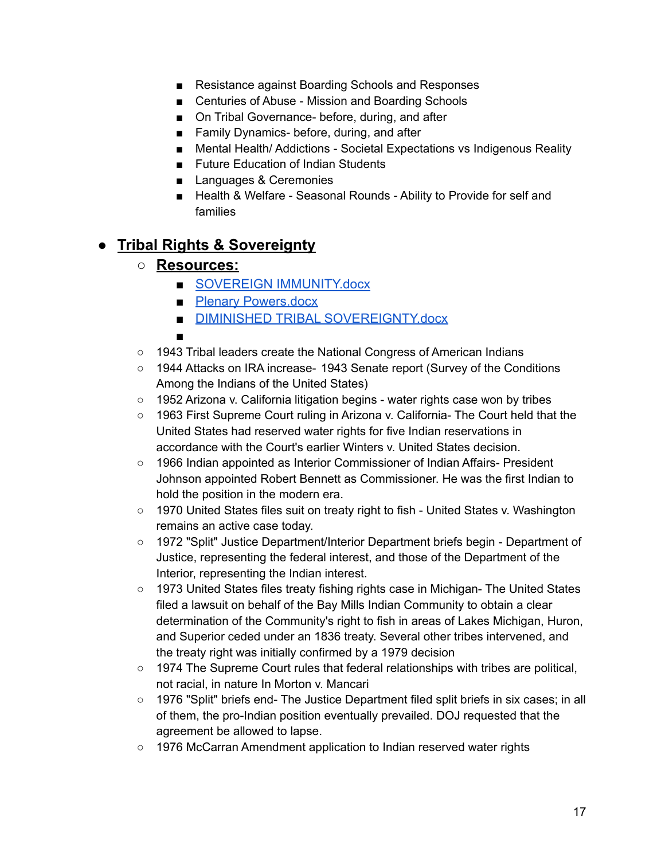- Resistance against Boarding Schools and Responses
- Centuries of Abuse Mission and Boarding Schools
- On Tribal Governance- before, during, and after
- Family Dynamics- before, during, and after
- Mental Health/ Addictions Societal Expectations vs Indigenous Reality
- Future Education of Indian Students
- Languages & Ceremonies
- Health & Welfare Seasonal Rounds Ability to Provide for self and families

### **● Tribal Rights & Sovereignty**

- **○ Resources:**
	- [SOVEREIGN IMMUNITY.docx](https://docs.google.com/document/u/0/d/1JrPWLxiMWYsFAHFN8VspJqmyH8lFroOt/edit)
	- [Plenary Powers.docx](https://docs.google.com/document/u/0/d/1SrKQUzqd-eoguQSQbjvE3nx7ntANSP8T/edit)
	- [DIMINISHED TRIBAL SOVEREIGNTY.docx](https://docs.google.com/document/u/0/d/1ueQkcpnvJJdigZj9shCCCGheaOCM2k1y/edit)
	- ■
- 1943 Tribal leaders create the National Congress of American Indians
- 1944 Attacks on IRA increase- 1943 Senate report (Survey of the Conditions Among the Indians of the United States)
- 1952 Arizona v. California litigation begins water rights case won by tribes
- 1963 First Supreme Court ruling in Arizona v. California- The Court held that the United States had reserved water rights for five Indian reservations in accordance with the Court's earlier Winters v. United States decision.
- 1966 Indian appointed as Interior Commissioner of Indian Affairs- President Johnson appointed Robert Bennett as Commissioner. He was the first Indian to hold the position in the modern era.
- 1970 United States files suit on treaty right to fish United States v. Washington remains an active case today.
- 1972 "Split" Justice Department/Interior Department briefs begin Department of Justice, representing the federal interest, and those of the Department of the Interior, representing the Indian interest.
- 1973 United States files treaty fishing rights case in Michigan- The United States filed a lawsuit on behalf of the Bay Mills Indian Community to obtain a clear determination of the Community's right to fish in areas of Lakes Michigan, Huron, and Superior ceded under an 1836 treaty. Several other tribes intervened, and the treaty right was initially confirmed by a 1979 decision
- 1974 The Supreme Court rules that federal relationships with tribes are political, not racial, in nature In Morton v. Mancari
- 1976 "Split" briefs end- The Justice Department filed split briefs in six cases; in all of them, the pro-Indian position eventually prevailed. DOJ requested that the agreement be allowed to lapse.
- 1976 McCarran Amendment application to Indian reserved water rights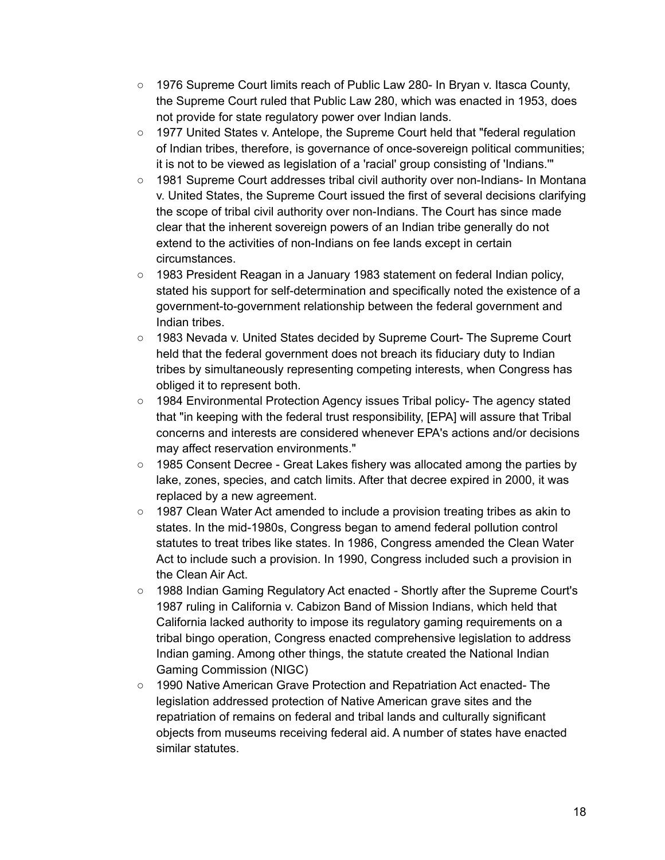- 1976 Supreme Court limits reach of Public Law 280- In Bryan v. Itasca County, the Supreme Court ruled that Public Law 280, which was enacted in 1953, does not provide for state regulatory power over Indian lands.
- 1977 United States v. Antelope, the Supreme Court held that "federal regulation of Indian tribes, therefore, is governance of once-sovereign political communities; it is not to be viewed as legislation of a 'racial' group consisting of 'Indians.'"
- 1981 Supreme Court addresses tribal civil authority over non-Indians- In Montana v. United States, the Supreme Court issued the first of several decisions clarifying the scope of tribal civil authority over non-Indians. The Court has since made clear that the inherent sovereign powers of an Indian tribe generally do not extend to the activities of non-Indians on fee lands except in certain circumstances.
- 1983 President Reagan in a January 1983 statement on federal Indian policy, stated his support for self-determination and specifically noted the existence of a government-to-government relationship between the federal government and Indian tribes.
- 1983 Nevada v. United States decided by Supreme Court- The Supreme Court held that the federal government does not breach its fiduciary duty to Indian tribes by simultaneously representing competing interests, when Congress has obliged it to represent both.
- 1984 Environmental Protection Agency issues Tribal policy- The agency stated that "in keeping with the federal trust responsibility, [EPA] will assure that Tribal concerns and interests are considered whenever EPA's actions and/or decisions may affect reservation environments."
- 1985 Consent Decree Great Lakes fishery was allocated among the parties by lake, zones, species, and catch limits. After that decree expired in 2000, it was replaced by a new agreement.
- 1987 Clean Water Act amended to include a provision treating tribes as akin to states. In the mid-1980s, Congress began to amend federal pollution control statutes to treat tribes like states. In 1986, Congress amended the Clean Water Act to include such a provision. In 1990, Congress included such a provision in the Clean Air Act.
- 1988 Indian Gaming Regulatory Act enacted Shortly after the Supreme Court's 1987 ruling in California v. Cabizon Band of Mission Indians, which held that California lacked authority to impose its regulatory gaming requirements on a tribal bingo operation, Congress enacted comprehensive legislation to address Indian gaming. Among other things, the statute created the National Indian Gaming Commission (NIGC)
- 1990 Native American Grave Protection and Repatriation Act enacted- The legislation addressed protection of Native American grave sites and the repatriation of remains on federal and tribal lands and culturally significant objects from museums receiving federal aid. A number of states have enacted similar statutes.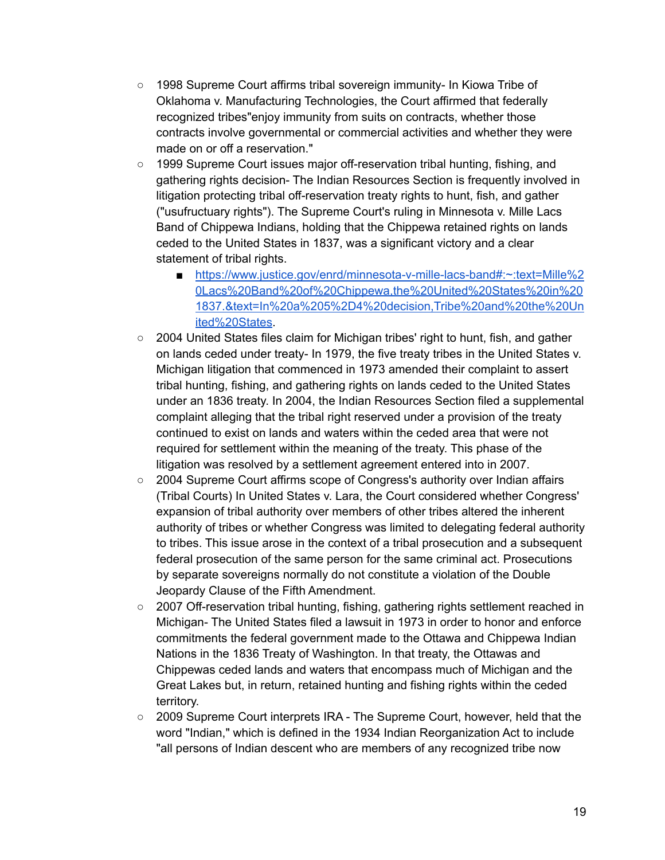- 1998 Supreme Court affirms tribal sovereign immunity- In Kiowa Tribe of Oklahoma v. Manufacturing Technologies, the Court affirmed that federally recognized tribes"enjoy immunity from suits on contracts, whether those contracts involve governmental or commercial activities and whether they were made on or off a reservation."
- 1999 Supreme Court issues major off-reservation tribal hunting, fishing, and gathering rights decision- The Indian Resources Section is frequently involved in litigation protecting tribal off-reservation treaty rights to hunt, fish, and gather ("usufructuary rights"). The Supreme Court's ruling in Minnesota v. Mille Lacs Band of Chippewa Indians, holding that the Chippewa retained rights on lands ceded to the United States in 1837, was a significant victory and a clear statement of tribal rights.
	- [https://www.justice.gov/enrd/minnesota-v-mille-lacs-band#:~:text=Mille%2](https://www.justice.gov/enrd/minnesota-v-mille-lacs-band#:~:text=Mille%20Lacs%20Band%20of%20Chippewa,the%20United%20States%20in%201837.&text=In%20a%205%2D4%20decision,Tribe%20and%20the%20United%20States) [0Lacs%20Band%20of%20Chippewa,the%20United%20States%20in%20](https://www.justice.gov/enrd/minnesota-v-mille-lacs-band#:~:text=Mille%20Lacs%20Band%20of%20Chippewa,the%20United%20States%20in%201837.&text=In%20a%205%2D4%20decision,Tribe%20and%20the%20United%20States) [1837.&text=In%20a%205%2D4%20decision,Tribe%20and%20the%20Un](https://www.justice.gov/enrd/minnesota-v-mille-lacs-band#:~:text=Mille%20Lacs%20Band%20of%20Chippewa,the%20United%20States%20in%201837.&text=In%20a%205%2D4%20decision,Tribe%20and%20the%20United%20States) [ited%20States.](https://www.justice.gov/enrd/minnesota-v-mille-lacs-band#:~:text=Mille%20Lacs%20Band%20of%20Chippewa,the%20United%20States%20in%201837.&text=In%20a%205%2D4%20decision,Tribe%20and%20the%20United%20States)
- 2004 United States files claim for Michigan tribes' right to hunt, fish, and gather on lands ceded under treaty- In 1979, the five treaty tribes in the United States v. Michigan litigation that commenced in 1973 amended their complaint to assert tribal hunting, fishing, and gathering rights on lands ceded to the United States under an 1836 treaty. In 2004, the Indian Resources Section filed a supplemental complaint alleging that the tribal right reserved under a provision of the treaty continued to exist on lands and waters within the ceded area that were not required for settlement within the meaning of the treaty. This phase of the litigation was resolved by a settlement agreement entered into in 2007.
- 2004 Supreme Court affirms scope of Congress's authority over Indian affairs (Tribal Courts) In United States v. Lara, the Court considered whether Congress' expansion of tribal authority over members of other tribes altered the inherent authority of tribes or whether Congress was limited to delegating federal authority to tribes. This issue arose in the context of a tribal prosecution and a subsequent federal prosecution of the same person for the same criminal act. Prosecutions by separate sovereigns normally do not constitute a violation of the Double Jeopardy Clause of the Fifth Amendment.
- 2007 Off-reservation tribal hunting, fishing, gathering rights settlement reached in Michigan- The United States filed a lawsuit in 1973 in order to honor and enforce commitments the federal government made to the Ottawa and Chippewa Indian Nations in the 1836 Treaty of Washington. In that treaty, the Ottawas and Chippewas ceded lands and waters that encompass much of Michigan and the Great Lakes but, in return, retained hunting and fishing rights within the ceded territory.
- 2009 Supreme Court interprets IRA The Supreme Court, however, held that the word "Indian," which is defined in the 1934 Indian Reorganization Act to include "all persons of Indian descent who are members of any recognized tribe now